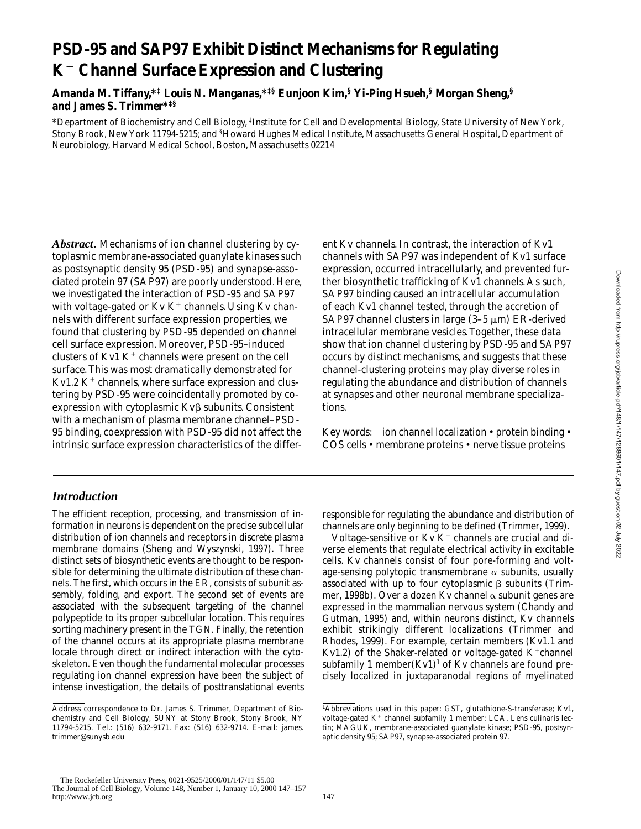# **PSD-95 and SAP97 Exhibit Distinct Mechanisms for Regulating K**<sup>1</sup> **Channel Surface Expression and Clustering**

**Amanda M. Tiffany,\*‡ Louis N. Manganas,\*‡§ Eunjoon Kim,§ Yi-Ping Hsueh,§ Morgan Sheng,§ and James S. Trimmer\*‡§**

\*Department of Biochemistry and Cell Biology, ‡ Institute for Cell and Developmental Biology, State University of New York, Stony Brook, New York 11794-5215; and <sup>§</sup>Howard Hughes Medical Institute, Massachusetts General Hospital, Department of Neurobiology, Harvard Medical School, Boston, Massachusetts 02214

*Abstract.* Mechanisms of ion channel clustering by cytoplasmic membrane-associated guanylate kinases such as postsynaptic density 95 (PSD-95) and synapse-associated protein 97 (SAP97) are poorly understood. Here, we investigated the interaction of PSD-95 and SAP97 with voltage-gated or  $Kv K^+$  channels. Using Kv channels with different surface expression properties, we found that clustering by PSD-95 depended on channel cell surface expression. Moreover, PSD-95–induced clusters of Kv1  $K^+$  channels were present on the cell surface. This was most dramatically demonstrated for Kv1.2  $K^+$  channels, where surface expression and clustering by PSD-95 were coincidentally promoted by coexpression with cytoplasmic  $Kv\beta$  subunits. Consistent with a mechanism of plasma membrane channel–PSD-95 binding, coexpression with PSD-95 did not affect the intrinsic surface expression characteristics of the differ-

*Introduction*

The efficient reception, processing, and transmission of information in neurons is dependent on the precise subcellular distribution of ion channels and receptors in discrete plasma membrane domains (Sheng and Wyszynski, 1997). Three distinct sets of biosynthetic events are thought to be responsible for determining the ultimate distribution of these channels. The first, which occurs in the ER, consists of subunit assembly, folding, and export. The second set of events are associated with the subsequent targeting of the channel polypeptide to its proper subcellular location. This requires sorting machinery present in the TGN. Finally, the retention of the channel occurs at its appropriate plasma membrane locale through direct or indirect interaction with the cytoskeleton. Even though the fundamental molecular processes regulating ion channel expression have been the subject of intense investigation, the details of posttranslational events ent Kv channels. In contrast, the interaction of Kv1 channels with SAP97 was independent of Kv1 surface expression, occurred intracellularly, and prevented further biosynthetic trafficking of Kv1 channels. As such, SAP97 binding caused an intracellular accumulation of each Kv1 channel tested, through the accretion of SAP97 channel clusters in large  $(3-5 \mu m)$  ER-derived intracellular membrane vesicles. Together, these data show that ion channel clustering by PSD-95 and SAP97 occurs by distinct mechanisms, and suggests that these channel-clustering proteins may play diverse roles in regulating the abundance and distribution of channels at synapses and other neuronal membrane specializations.

Key words: ion channel localization • protein binding • COS cells • membrane proteins • nerve tissue proteins

Downloaded from http://rupress.org/jcb/article-pdf/148/1/147/1288601/147. pdf by guest on 02 July 2022 Downloaded from http://rupress.org/jcb/article-pdf/148/1/147/1288601/147.pdf by guest on 02 July 2022

responsible for regulating the abundance and distribution of channels are only beginning to be defined (Trimmer, 1999).

Voltage-sensitive or  $Kv K<sup>+</sup>$  channels are crucial and diverse elements that regulate electrical activity in excitable cells. Kv channels consist of four pore-forming and voltage-sensing polytopic transmembrane  $\alpha$  subunits, usually associated with up to four cytoplasmic  $\beta$  subunits (Trimmer, 1998b). Over a dozen Kv channel  $\alpha$  subunit genes are expressed in the mammalian nervous system (Chandy and Gutman, 1995) and, within neurons distinct, Kv channels exhibit strikingly different localizations (Trimmer and Rhodes, 1999). For example, certain members (Kv1.1 and Kv1.2) of the *Shaker*-related or voltage-gated K<sup>+</sup>channel subfamily 1 member $(Kv1)^1$  of Kv channels are found precisely localized in juxtaparanodal regions of myelinated

Address correspondence to Dr. James S. Trimmer, Department of Biochemistry and Cell Biology, SUNY at Stony Brook, Stony Brook, NY 11794-5215. Tel.: (516) 632-9171. Fax: (516) 632-9714. E-mail: james. trimmer@sunysb.edu

<sup>&</sup>lt;sup>1</sup>Abbreviations used in this paper: GST, glutathione-S-transferase; Kv1, voltage-gated K<sup>+</sup> channel subfamily 1 member; LCA, *Lens culinaris* lectin; MAGUK, membrane-associated guanylate kinase; PSD-95, postsynaptic density 95; SAP97, synapse-associated protein 97.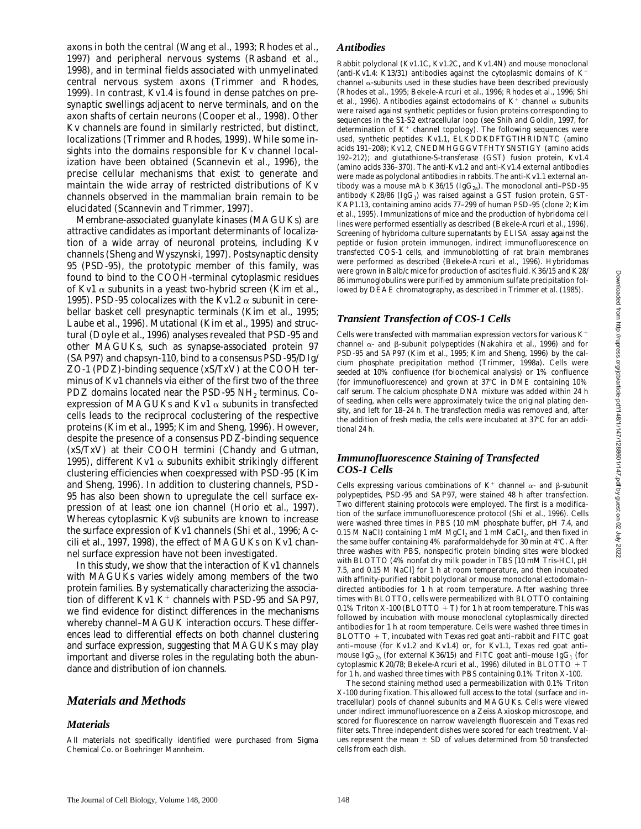axons in both the central (Wang et al., 1993; Rhodes et al., 1997) and peripheral nervous systems (Rasband et al., 1998), and in terminal fields associated with unmyelinated central nervous system axons (Trimmer and Rhodes, 1999). In contrast, Kv1.4 is found in dense patches on presynaptic swellings adjacent to nerve terminals, and on the axon shafts of certain neurons (Cooper et al., 1998). Other Kv channels are found in similarly restricted, but distinct, localizations (Trimmer and Rhodes, 1999). While some insights into the domains responsible for Kv channel localization have been obtained (Scannevin et al., 1996), the precise cellular mechanisms that exist to generate and maintain the wide array of restricted distributions of Kv channels observed in the mammalian brain remain to be elucidated (Scannevin and Trimmer, 1997).

Membrane-associated guanylate kinases (MAGUKs) are attractive candidates as important determinants of localization of a wide array of neuronal proteins, including Kv channels (Sheng and Wyszynski, 1997). Postsynaptic density 95 (PSD-95), the prototypic member of this family, was found to bind to the COOH-terminal cytoplasmic residues of Kv1  $\alpha$  subunits in a yeast two-hybrid screen (Kim et al., 1995). PSD-95 colocalizes with the Kv1.2  $\alpha$  subunit in cerebellar basket cell presynaptic terminals (Kim et al., 1995; Laube et al., 1996). Mutational (Kim et al., 1995) and structural (Doyle et al., 1996) analyses revealed that PSD-95 and other MAGUKs, such as synapse-associated protein 97 (SAP97) and chapsyn-110, bind to a consensus PSD-95/DIg/ ZO-1 (PDZ)-binding sequence (xS/TxV) at the COOH terminus of Kv1 channels via either of the first two of the three PDZ domains located near the PSD-95  $NH<sub>2</sub>$  terminus. Coexpression of MAGUKs and Kv1  $\alpha$  subunits in transfected cells leads to the reciprocal coclustering of the respective proteins (Kim et al., 1995; Kim and Sheng, 1996). However, despite the presence of a consensus PDZ-binding sequence (xS/TxV) at their COOH termini (Chandy and Gutman, 1995), different Kv1  $\alpha$  subunits exhibit strikingly different clustering efficiencies when coexpressed with PSD-95 (Kim and Sheng, 1996). In addition to clustering channels, PSD-95 has also been shown to upregulate the cell surface expression of at least one ion channel (Horio et al., 1997). Whereas cytoplasmic  $Kv\beta$  subunits are known to increase the surface expression of Kv1 channels (Shi et al., 1996; Accili et al., 1997, 1998), the effect of MAGUKs on Kv1 channel surface expression have not been investigated.

In this study, we show that the interaction of Kv1 channels with MAGUKs varies widely among members of the two protein families. By systematically characterizing the association of different  $Kv1 K<sup>+</sup>$  channels with PSD-95 and SAP97, we find evidence for distinct differences in the mechanisms whereby channel–MAGUK interaction occurs. These differences lead to differential effects on both channel clustering and surface expression, suggesting that MAGUKs may play important and diverse roles in the regulating both the abundance and distribution of ion channels.

# *Materials and Methods*

#### *Materials*

All materials not specifically identified were purchased from Sigma Chemical Co. or Boehringer Mannheim.

#### *Antibodies*

Rabbit polyclonal (Kv1.1C, Kv1.2C, and Kv1.4N) and mouse monoclonal (anti-Kv1.4: K13/31) antibodies against the cytoplasmic domains of  $K^+$ channel  $\alpha$ -subunits used in these studies have been described previously (Rhodes et al., 1995; Bekele-Arcuri et al., 1996; Rhodes et al., 1996; Shi et al., 1996). Antibodies against ectodomains of  $K^+$  channel  $\alpha$  subunits were raised against synthetic peptides or fusion proteins corresponding to sequences in the S1-S2 extracellular loop (see Shih and Goldin, 1997, for determination of  $K^+$  channel topology). The following sequences were used, synthetic peptides: Kv1.1, ELKDDKDFTGTIHRIDNTC (amino acids 191–208); Kv1.2, CNEDMHGGGVTFHTYSNSTIGY (amino acids 192–212); and glutathione-S-transferase (GST) fusion protein, Kv1.4 (amino acids 336–370). The anti-Kv1.2 and anti-Kv1.4 external antibodies were made as polyclonal antibodies in rabbits. The anti-Kv1.1 external antibody was a mouse mAb K36/15 (Ig $G_{2a}$ ). The monoclonal anti-PSD-95 antibody K28/86 (Ig $G_1$ ) was raised against a GST fusion protein, GST-KAP1.13, containing amino acids 77–299 of human PSD-95 (clone 2; Kim et al., 1995). Immunizations of mice and the production of hybridoma cell lines were performed essentially as described (Bekele-Arcuri et al., 1996). Screening of hybridoma culture supernatants by ELISA assay against the peptide or fusion protein immunogen, indirect immunofluorescence on transfected COS-1 cells, and immunoblotting of rat brain membranes were performed as described (Bekele-Arcuri et al., 1996). Hybridomas were grown in Balb/c mice for production of ascites fluid. K36/15 and K28/ 86 immunoglobulins were purified by ammonium sulfate precipitation followed by DEAE chromatography, as described in Trimmer et al. (1985).

# *Transient Transfection of COS-1 Cells*

Cells were transfected with mammalian expression vectors for various  $K^+$ channel  $\alpha$ - and  $\beta$ -subunit polypeptides (Nakahira et al., 1996) and for PSD-95 and SAP97 (Kim et al., 1995; Kim and Sheng, 1996) by the calcium phosphate precipitation method (Trimmer, 1998a). Cells were seeded at 10% confluence (for biochemical analysis) or 1% confluence (for immunofluorescence) and grown at  $37^{\circ}$ C in DME containing  $10\%$ calf serum. The calcium phosphate DNA mixture was added within 24 h of seeding, when cells were approximately twice the original plating density, and left for 18–24 h. The transfection media was removed and, after the addition of fresh media, the cells were incubated at 37°C for an additional 24 h.

#### *Immunofluorescence Staining of Transfected COS-1 Cells*

Cells expressing various combinations of  $K^+$  channel  $\alpha$ - and  $\beta$ -subunit polypeptides, PSD-95 and SAP97, were stained 48 h after transfection. Two different staining protocols were employed. The first is a modification of the surface immunofluorescence protocol (Shi et al., 1996). Cells were washed three times in PBS (10 mM phosphate buffer, pH 7.4, and 0.15 M NaCl) containing 1 mM  $MgCl<sub>2</sub>$  and 1 mM CaCl<sub>2</sub>, and then fixed in the same buffer containing 4% paraformaldehyde for 30 min at 4°C. After three washes with PBS, nonspecific protein binding sites were blocked with BLOTTO (4% nonfat dry milk powder in TBS [10 mM Tris-HCl, pH 7.5, and 0.15 M NaCl] for 1 h at room temperature, and then incubated with affinity-purified rabbit polyclonal or mouse monoclonal ectodomain– directed antibodies for 1 h at room temperature. After washing three times with BLOTTO, cells were permeabilized with BLOTTO containing 0.1% Triton X-100 (BLOTTO  $+$  T) for 1 h at room temperature. This was followed by incubation with mouse monoclonal cytoplasmically directed antibodies for 1 h at room temperature. Cells were washed three times in  $BLOTTO + T$ , incubated with Texas red goat anti-rabbit and FITC goat anti–mouse (for Kv1.2 and Kv1.4) or, for Kv1.1, Texas red goat anti– mouse Ig $G_{2a}$  (for external K36/15) and FITC goat anti-mouse Ig $G_1$  (for cytoplasmic K20/78; Bekele-Arcuri et al., 1996) diluted in BLOTTO  $+$  T for 1 h, and washed three times with PBS containing 0.1% Triton X-100.

The second staining method used a permeabilization with 0.1% Triton X-100 during fixation. This allowed full access to the total (surface and intracellular) pools of channel subunits and MAGUKs. Cells were viewed under indirect immunofluorescence on a Zeiss Axioskop microscope, and scored for fluorescence on narrow wavelength fluorescein and Texas red filter sets. Three independent dishes were scored for each treatment. Values represent the mean  $\pm$  SD of values determined from 50 transfected cells from each dish.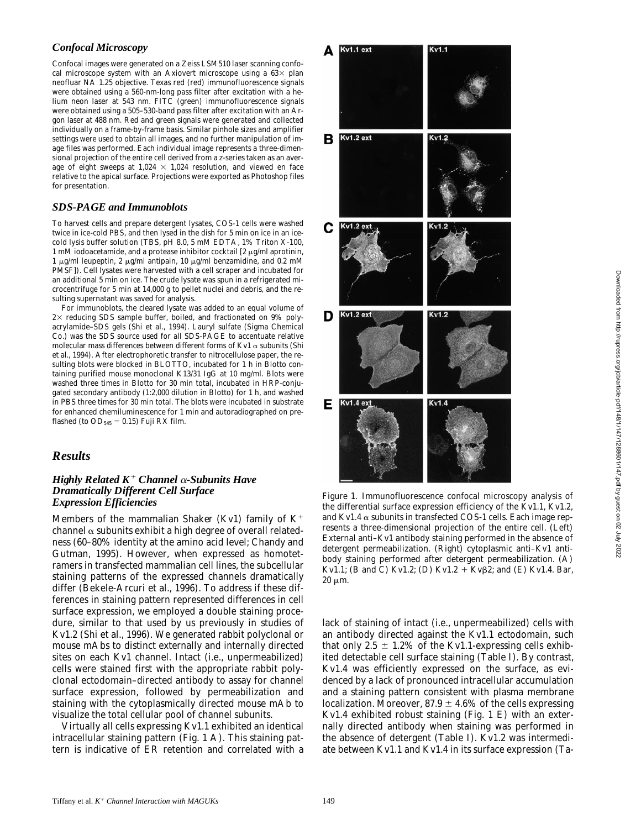# *Confocal Microscopy*

Confocal images were generated on a Zeiss LSM510 laser scanning confocal microscope system with an Axiovert microscope using a  $63\times$  plan neofluar NA 1.25 objective. Texas red (red) immunofluorescence signals were obtained using a 560-nm-long pass filter after excitation with a helium neon laser at 543 nm. FITC (green) immunofluorescence signals were obtained using a 505–530-band pass filter after excitation with an Argon laser at 488 nm. Red and green signals were generated and collected individually on a frame-by-frame basis. Similar pinhole sizes and amplifier settings were used to obtain all images, and no further manipulation of image files was performed. Each individual image represents a three-dimensional projection of the entire cell derived from a z-series taken as an average of eight sweeps at  $1,024 \times 1,024$  resolution, and viewed en face relative to the apical surface. Projections were exported as Photoshop files for presentation.

# *SDS-PAGE and Immunoblots*

To harvest cells and prepare detergent lysates, COS-1 cells were washed twice in ice-cold PBS, and then lysed in the dish for 5 min on ice in an icecold lysis buffer solution (TBS, pH 8.0, 5 mM EDTA, 1% Triton X-100, 1 mM iodoacetamide, and a protease inhibitor cocktail  $[2 \mu g/m]$  aprotinin, 1  $\mu$ g/ml leupeptin, 2  $\mu$ g/ml antipain, 10  $\mu$ g/ml benzamidine, and 0.2 mM PMSF]). Cell lysates were harvested with a cell scraper and incubated for an additional 5 min on ice. The crude lysate was spun in a refrigerated microcentrifuge for 5 min at 14,000 *g* to pellet nuclei and debris, and the resulting supernatant was saved for analysis.

For immunoblots, the cleared lysate was added to an equal volume of  $2\times$  reducing SDS sample buffer, boiled, and fractionated on 9% polyacrylamide–SDS gels (Shi et al., 1994). Lauryl sulfate (Sigma Chemical Co.) was the SDS source used for all SDS-PAGE to accentuate relative molecular mass differences between different forms of Kv1  $\alpha$  subunits (Shi et al., 1994). After electrophoretic transfer to nitrocellulose paper, the resulting blots were blocked in BLOTTO, incubated for 1 h in Blotto containing purified mouse monoclonal K13/31 IgG at 10 mg/ml. Blots were washed three times in Blotto for 30 min total, incubated in HRP-conjugated secondary antibody (1:2,000 dilution in Blotto) for 1 h, and washed in PBS three times for 30 min total. The blots were incubated in substrate for enhanced chemiluminescence for 1 min and autoradiographed on preflashed (to  $OD_{545} = 0.15$ ) Fuji RX film.

# *Results*

### *Highly Related K*1 *Channel* a*-Subunits Have Dramatically Different Cell Surface Expression Efficiencies*

Members of the mammalian *Shaker* (Kv1) family of  $K^+$ channel  $\alpha$  subunits exhibit a high degree of overall relatedness (60–80% identity at the amino acid level; Chandy and Gutman, 1995). However, when expressed as homotetramers in transfected mammalian cell lines, the subcellular staining patterns of the expressed channels dramatically differ (Bekele-Arcuri et al., 1996). To address if these differences in staining pattern represented differences in cell surface expression, we employed a double staining procedure, similar to that used by us previously in studies of Kv1.2 (Shi et al., 1996). We generated rabbit polyclonal or mouse mAbs to distinct externally and internally directed sites on each Kv1 channel. Intact (i.e., unpermeabilized) cells were stained first with the appropriate rabbit polyclonal ectodomain–directed antibody to assay for channel surface expression, followed by permeabilization and staining with the cytoplasmically directed mouse mAb to visualize the total cellular pool of channel subunits.

Virtually all cells expressing Kv1.1 exhibited an identical intracellular staining pattern (Fig. 1 A). This staining pattern is indicative of ER retention and correlated with a



*Figure 1.* Immunofluorescence confocal microscopy analysis of the differential surface expression efficiency of the Kv1.1, Kv1.2, and Kv1.4  $\alpha$  subunits in transfected COS-1 cells. Each image represents a three-dimensional projection of the entire cell. (Left) External anti–Kv1 antibody staining performed in the absence of detergent permeabilization. (Right) cytoplasmic anti–Kv1 antibody staining performed after detergent permeabilization. (A) Kv1.1; (B and C) Kv1.2; (D) Kv1.2 + Kv $\beta$ 2; and (E) Kv1.4. Bar,  $20 \mu m$ .

lack of staining of intact (i.e., unpermeabilized) cells with an antibody directed against the Kv1.1 ectodomain, such that only 2.5  $\pm$  1.2% of the Kv1.1-expressing cells exhibited detectable cell surface staining (Table I). By contrast, Kv1.4 was efficiently expressed on the surface, as evidenced by a lack of pronounced intracellular accumulation and a staining pattern consistent with plasma membrane localization. Moreover,  $87.9 \pm 4.6\%$  of the cells expressing Kv1.4 exhibited robust staining (Fig. 1 E) with an externally directed antibody when staining was performed in the absence of detergent (Table I). Kv1.2 was intermediate between Kv1.1 and Kv1.4 in its surface expression (Ta-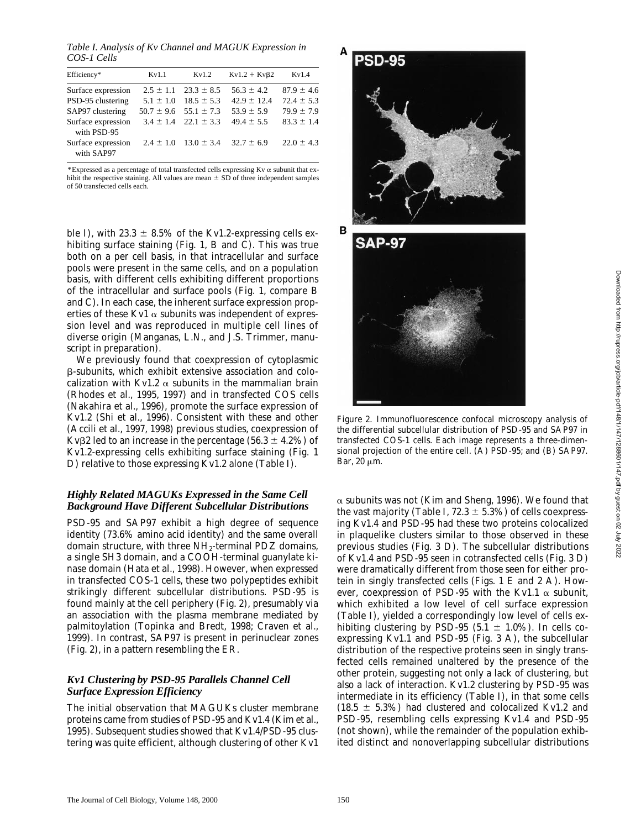*Table I. Analysis of Kv Channel and MAGUK Expression in COS-1 Cells*

| Kv1.1 | Kv1.2 | $Kv1.2 + KvB2$                                                                                                                                                | Kv1.4          |
|-------|-------|---------------------------------------------------------------------------------------------------------------------------------------------------------------|----------------|
|       |       | $56.3 \pm 4.2$                                                                                                                                                | $87.9 \pm 4.6$ |
|       |       | $42.9 \pm 12.4$                                                                                                                                               | $72.4 \pm 5.3$ |
|       |       | $53.9 \pm 5.9$                                                                                                                                                | $79.9 \pm 7.9$ |
|       |       | $49.4 \pm 5.5$                                                                                                                                                | $83.3 \pm 1.4$ |
|       |       | $32.7 \pm 6.9$                                                                                                                                                | $22.0 \pm 4.3$ |
|       |       | $2.5 \pm 1.1$ $23.3 \pm 8.5$<br>$5.1 \pm 1.0$ $18.5 \pm 5.3$<br>$50.7 \pm 9.6$ 55.1 $\pm 7.3$<br>$3.4 \pm 1.4$ $22.1 \pm 3.3$<br>$2.4 \pm 1.0$ 13.0 $\pm$ 3.4 |                |

\*Expressed as a percentage of total transfected cells expressing  $Kv \alpha$  subunit that exhibit the respective staining. All values are mean  $\pm$  SD of three independent samples of 50 transfected cells each.

ble I), with 23.3  $\pm$  8.5% of the Kv1.2-expressing cells exhibiting surface staining (Fig. 1, B and C). This was true both on a per cell basis, in that intracellular and surface pools were present in the same cells, and on a population basis, with different cells exhibiting different proportions of the intracellular and surface pools (Fig. 1, compare B and C). In each case, the inherent surface expression properties of these Kv1  $\alpha$  subunits was independent of expression level and was reproduced in multiple cell lines of diverse origin (Manganas, L.N., and J.S. Trimmer, manuscript in preparation).

We previously found that coexpression of cytoplasmic b-subunits, which exhibit extensive association and colocalization with Kv1.2  $\alpha$  subunits in the mammalian brain (Rhodes et al., 1995, 1997) and in transfected COS cells (Nakahira et al., 1996), promote the surface expression of Kv1.2 (Shi et al., 1996). Consistent with these and other (Accili et al., 1997, 1998) previous studies, coexpression of Kv $\beta$ 2 led to an increase in the percentage (56.3  $\pm$  4.2%) of Kv1.2-expressing cells exhibiting surface staining (Fig. 1 D) relative to those expressing Kv1.2 alone (Table I).

#### *Highly Related MAGUKs Expressed in the Same Cell Background Have Different Subcellular Distributions*

PSD-95 and SAP97 exhibit a high degree of sequence identity (73.6% amino acid identity) and the same overall domain structure, with three  $NH<sub>2</sub>$ -terminal PDZ domains, a single SH3 domain, and a COOH-terminal guanylate kinase domain (Hata et al., 1998). However, when expressed in transfected COS-1 cells, these two polypeptides exhibit strikingly different subcellular distributions. PSD-95 is found mainly at the cell periphery (Fig. 2), presumably via an association with the plasma membrane mediated by palmitoylation (Topinka and Bredt, 1998; Craven et al., 1999). In contrast, SAP97 is present in perinuclear zones (Fig. 2), in a pattern resembling the ER.

### *Kv1 Clustering by PSD-95 Parallels Channel Cell Surface Expression Efficiency*

The initial observation that MAGUKs cluster membrane proteins came from studies of PSD-95 and Kv1.4 (Kim et al., 1995). Subsequent studies showed that Kv1.4/PSD-95 clustering was quite efficient, although clustering of other Kv1



*Figure 2.* Immunofluorescence confocal microscopy analysis of the differential subcellular distribution of PSD-95 and SAP97 in transfected COS-1 cells. Each image represents a three-dimensional projection of the entire cell. (A) PSD-95; and (B) SAP97. Bar,  $20 \mu m$ .

 $\alpha$  subunits was not (Kim and Sheng, 1996). We found that the vast majority (Table I, 72.3  $\pm$  5.3%) of cells coexpressing Kv1.4 and PSD-95 had these two proteins colocalized in plaquelike clusters similar to those observed in these previous studies (Fig. 3 D). The subcellular distributions of Kv1.4 and PSD-95 seen in cotransfected cells (Fig. 3 D) were dramatically different from those seen for either protein in singly transfected cells (Figs. 1 E and 2 A). However, coexpression of PSD-95 with the Kv1.1  $\alpha$  subunit, which exhibited a low level of cell surface expression (Table I), yielded a correspondingly low level of cells exhibiting clustering by PSD-95 (5.1  $\pm$  1.0%). In cells coexpressing Kv1.1 and PSD-95 (Fig. 3 A), the subcellular distribution of the respective proteins seen in singly transfected cells remained unaltered by the presence of the other protein, suggesting not only a lack of clustering, but also a lack of interaction. Kv1.2 clustering by PSD-95 was intermediate in its efficiency (Table I), in that some cells (18.5  $\pm$  5.3%) had clustered and colocalized Kv1.2 and PSD-95, resembling cells expressing Kv1.4 and PSD-95 (not shown), while the remainder of the population exhibited distinct and nonoverlapping subcellular distributions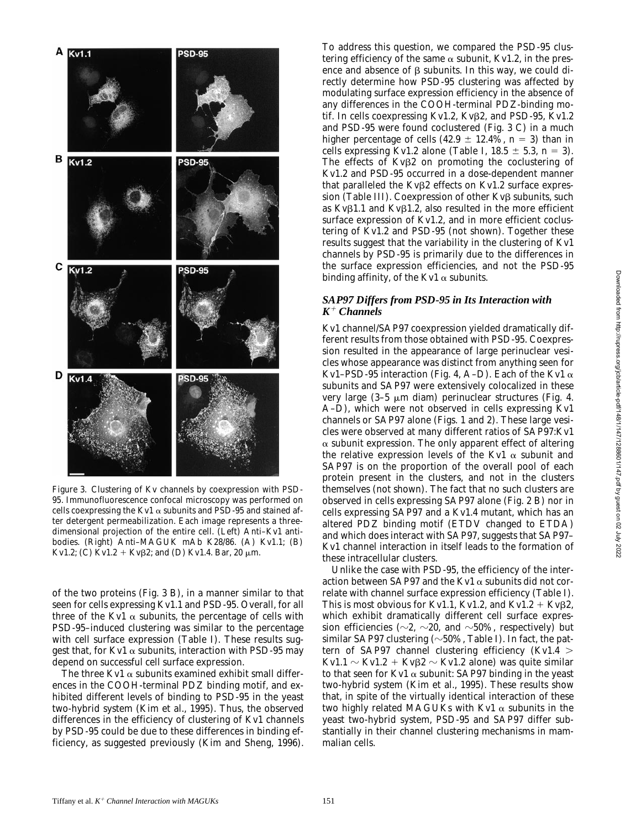

*Figure 3.* Clustering of Kv channels by coexpression with PSD-95. Immunofluorescence confocal microscopy was performed on cells coexpressing the Kv1  $\alpha$  subunits and PSD-95 and stained after detergent permeabilization. Each image represents a threedimensional projection of the entire cell. (Left) Anti–Kv1 antibodies. (Right) Anti–MAGUK mAb K28/86. (A) Kv1.1; (B) Kv1.2; (C) Kv1.2 + Kv $\beta$ 2; and (D) Kv1.4. Bar, 20  $\mu$ m.

of the two proteins (Fig. 3 B), in a manner similar to that seen for cells expressing Kv1.1 and PSD-95. Overall, for all three of the Kv1  $\alpha$  subunits, the percentage of cells with PSD-95–induced clustering was similar to the percentage with cell surface expression (Table I). These results suggest that, for Kv1  $\alpha$  subunits, interaction with PSD-95 may depend on successful cell surface expression.

The three Kv1  $\alpha$  subunits examined exhibit small differences in the COOH-terminal PDZ binding motif, and exhibited different levels of binding to PSD-95 in the yeast two-hybrid system (Kim et al., 1995). Thus, the observed differences in the efficiency of clustering of Kv1 channels by PSD-95 could be due to these differences in binding efficiency, as suggested previously (Kim and Sheng, 1996). To address this question, we compared the PSD-95 clustering efficiency of the same  $\alpha$  subunit, Kv1.2, in the presence and absence of  $\beta$  subunits. In this way, we could directly determine how PSD-95 clustering was affected by modulating surface expression efficiency in the absence of any differences in the COOH-terminal PDZ-binding motif. In cells coexpressing Kv1.2, Kv $\beta$ 2, and PSD-95, Kv1.2 and PSD-95 were found coclustered (Fig. 3 C) in a much higher percentage of cells  $(42.9 \pm 12.4\%, n = 3)$  than in cells expressing Kv1.2 alone (Table I,  $18.5 \pm 5.3$ ,  $n = 3$ ). The effects of  $Kv\beta2$  on promoting the coclustering of Kv1.2 and PSD-95 occurred in a dose-dependent manner that paralleled the Kv $\beta$ 2 effects on Kv1.2 surface expression (Table III). Coexpression of other  $Kv\beta$  subunits, such as  $Kv\beta1.1$  and  $Kv\beta1.2$ , also resulted in the more efficient surface expression of Kv1.2, and in more efficient coclustering of Kv1.2 and PSD-95 (not shown). Together these results suggest that the variability in the clustering of Kv1 channels by PSD-95 is primarily due to the differences in the surface expression efficiencies, and not the PSD-95 binding affinity, of the Kv1  $\alpha$  subunits.

#### *SAP97 Differs from PSD-95 in Its Interaction with K*1 *Channels*

Kv1 channel/SAP97 coexpression yielded dramatically different results from those obtained with PSD-95. Coexpression resulted in the appearance of large perinuclear vesicles whose appearance was distinct from anything seen for Kv1–PSD-95 interaction (Fig. 4, A–D). Each of the Kv1  $\alpha$ subunits and SAP97 were extensively colocalized in these very large  $(3-5 \mu m \text{ diam})$  perinuclear structures (Fig. 4. A–D), which were not observed in cells expressing Kv1 channels or SAP97 alone (Figs. 1 and 2). These large vesicles were observed at many different ratios of SAP97:Kv1  $\alpha$  subunit expression. The only apparent effect of altering the relative expression levels of the Kv1  $\alpha$  subunit and SAP97 is on the proportion of the overall pool of each protein present in the clusters, and not in the clusters themselves (not shown). The fact that no such clusters are observed in cells expressing SAP97 alone (Fig. 2 B) nor in cells expressing SAP97 and a Kv1.4 mutant, which has an altered PDZ binding motif (ETDV changed to ETDA) and which does interact with SAP97, suggests that SAP97– Kv1 channel interaction in itself leads to the formation of these intracellular clusters.

Unlike the case with PSD-95, the efficiency of the interaction between SAP97 and the Kv1  $\alpha$  subunits did not correlate with channel surface expression efficiency (Table I). This is most obvious for Kv1.1, Kv1.2, and Kv1.2 + Kv $\beta$ 2, which exhibit dramatically different cell surface expression efficiencies ( $\sim$ 2,  $\sim$ 20, and  $\sim$ 50%, respectively) but similar SAP97 clustering ( $\sim$ 50%, Table I). In fact, the pattern of SAP97 channel clustering efficiency  $(Kv1.4 >$ Kv1.1  $\sim$  Kv1.2 + Kv $\beta$ 2  $\sim$  Kv1.2 alone) was quite similar to that seen for Kv1  $\alpha$  subunit: SAP97 binding in the yeast two-hybrid system (Kim et al., 1995). These results show that, in spite of the virtually identical interaction of these two highly related MAGUKs with Kv1  $\alpha$  subunits in the yeast two-hybrid system, PSD-95 and SAP97 differ substantially in their channel clustering mechanisms in mammalian cells.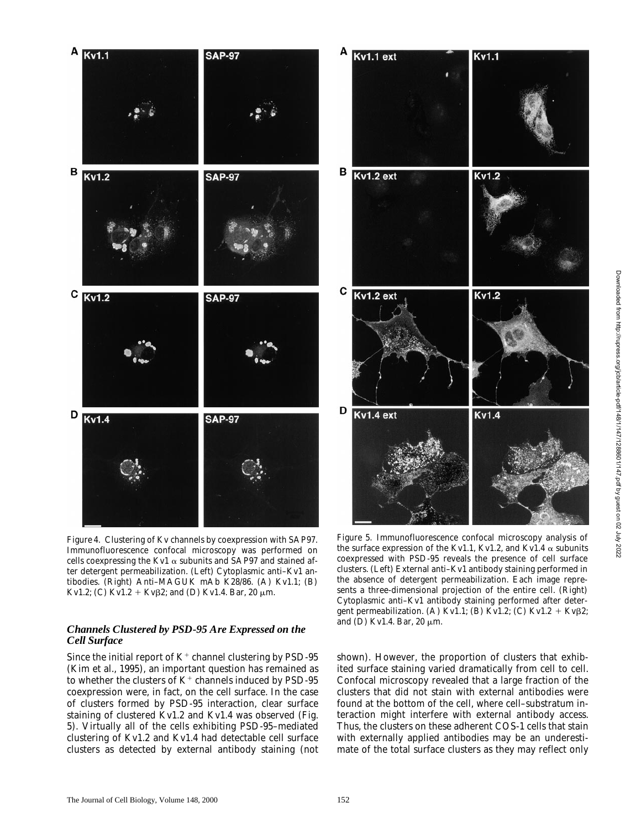

*Figure 4.* Clustering of Kv channels by coexpression with SAP97. Immunofluorescence confocal microscopy was performed on cells coexpressing the Kv1  $\alpha$  subunits and SAP97 and stained after detergent permeabilization. (Left) Cytoplasmic anti–Kv1 antibodies. (Right) Anti–MAGUK mAb K28/86. (A) Kv1.1; (B) Kv1.2; (C) Kv1.2 + Kv $\beta$ 2; and (D) Kv1.4. Bar, 20  $\mu$ m.

### *Channels Clustered by PSD-95 Are Expressed on the Cell Surface*

Since the initial report of  $K^+$  channel clustering by PSD-95 (Kim et al., 1995), an important question has remained as to whether the clusters of  $K^+$  channels induced by PSD-95 coexpression were, in fact, on the cell surface. In the case of clusters formed by PSD-95 interaction, clear surface staining of clustered Kv1.2 and Kv1.4 was observed (Fig. 5). Virtually all of the cells exhibiting PSD-95–mediated clustering of Kv1.2 and Kv1.4 had detectable cell surface clusters as detected by external antibody staining (not



*Figure 5.* Immunofluorescence confocal microscopy analysis of the surface expression of the Kv1.1, Kv1.2, and Kv1.4  $\alpha$  subunits coexpressed with PSD-95 reveals the presence of cell surface clusters. (Left) External anti–Kv1 antibody staining performed in the absence of detergent permeabilization. Each image represents a three-dimensional projection of the entire cell. (Right) Cytoplasmic anti–Kv1 antibody staining performed after detergent permeabilization. (A) Kv1.1; (B) Kv1.2; (C) Kv1.2 + Kv $\beta$ 2; and (D) Kv1.4. Bar, 20  $\mu$ m.

shown). However, the proportion of clusters that exhibited surface staining varied dramatically from cell to cell. Confocal microscopy revealed that a large fraction of the clusters that did not stain with external antibodies were found at the bottom of the cell, where cell–substratum interaction might interfere with external antibody access. Thus, the clusters on these adherent COS-1 cells that stain with externally applied antibodies may be an underestimate of the total surface clusters as they may reflect only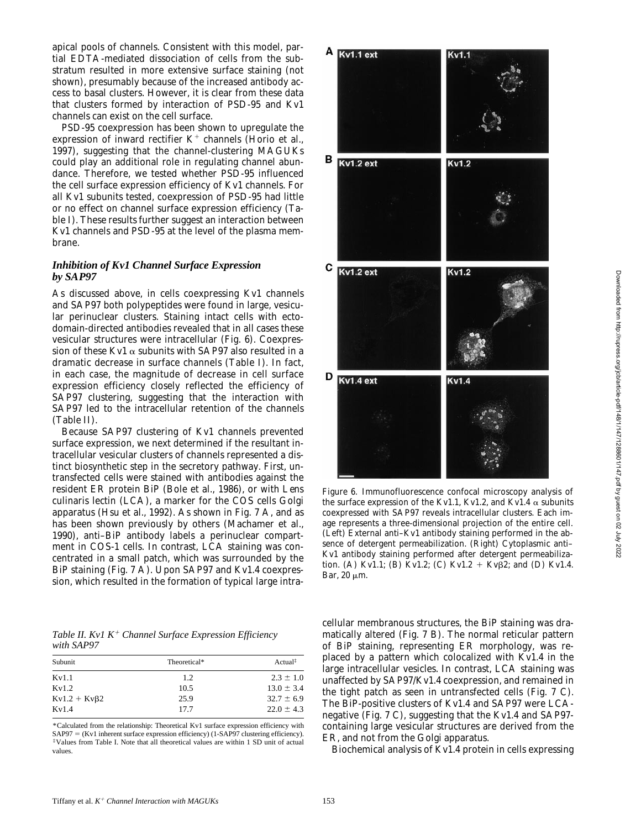apical pools of channels. Consistent with this model, partial EDTA-mediated dissociation of cells from the substratum resulted in more extensive surface staining (not shown), presumably because of the increased antibody access to basal clusters. However, it is clear from these data that clusters formed by interaction of PSD-95 and Kv1 channels can exist on the cell surface.

PSD-95 coexpression has been shown to upregulate the expression of inward rectifier  $K^+$  channels (Horio et al., 1997), suggesting that the channel-clustering MAGUKs could play an additional role in regulating channel abundance. Therefore, we tested whether PSD-95 influenced the cell surface expression efficiency of Kv1 channels. For all Kv1 subunits tested, coexpression of PSD-95 had little or no effect on channel surface expression efficiency (Table I). These results further suggest an interaction between Kv1 channels and PSD-95 at the level of the plasma membrane.

#### *Inhibition of Kv1 Channel Surface Expression by SAP97*

As discussed above, in cells coexpressing Kv1 channels and SAP97 both polypeptides were found in large, vesicular perinuclear clusters. Staining intact cells with ectodomain-directed antibodies revealed that in all cases these vesicular structures were intracellular (Fig. 6). Coexpression of these Kv1  $\alpha$  subunits with SAP97 also resulted in a dramatic decrease in surface channels (Table I). In fact, in each case, the magnitude of decrease in cell surface expression efficiency closely reflected the efficiency of SAP97 clustering, suggesting that the interaction with SAP97 led to the intracellular retention of the channels (Table II).

Because SAP97 clustering of Kv1 channels prevented surface expression, we next determined if the resultant intracellular vesicular clusters of channels represented a distinct biosynthetic step in the secretory pathway. First, untransfected cells were stained with antibodies against the resident ER protein BiP (Bole et al., 1986), or with *Lens culinaris* lectin (LCA), a marker for the COS cells Golgi apparatus (Hsu et al., 1992). As shown in Fig. 7 A, and as has been shown previously by others (Machamer et al., 1990), anti–BiP antibody labels a perinuclear compartment in COS-1 cells. In contrast, LCA staining was concentrated in a small patch, which was surrounded by the BiP staining (Fig. 7 A). Upon SAP97 and Kv1.4 coexpression, which resulted in the formation of typical large intra-

*Table II. Kv1 K*1 *Channel Surface Expression Efficiency with SAP97*

| Subunit        | Theoretical* | Actual <sup>‡</sup> |  |
|----------------|--------------|---------------------|--|
|                |              |                     |  |
| Kv1.1          | 1.2.         | $2.3 \pm 1.0$       |  |
| Kv1.2          | 10.5         | $13.0 \pm 3.4$      |  |
| $Kv1.2 + KvB2$ | 25.9         | $32.7 \pm 6.9$      |  |
| Kv1.4          | 17.7         | $22.0 \pm 4.3$      |  |
|                |              |                     |  |

\*Calculated from the relationship: Theoretical Kv1 surface expression efficiency with  $SAP97 = (Kv1$  inherent surface expression efficiency) (1-SAP97 clustering efficiency). ‡Values from Table I. Note that all theoretical values are within 1 SD unit of actual values



*Figure 6.* Immunofluorescence confocal microscopy analysis of the surface expression of the Kv1.1, Kv1.2, and Kv1.4  $\alpha$  subunits coexpressed with SAP97 reveals intracellular clusters. Each image represents a three-dimensional projection of the entire cell. (Left) External anti–Kv1 antibody staining performed in the absence of detergent permeabilization. (Right) Cytoplasmic anti– Kv1 antibody staining performed after detergent permeabilization. (A) Kv1.1; (B) Kv1.2; (C) Kv1.2 + Kv $\beta$ 2; and (D) Kv1.4. Bar,  $20 \mu m$ .

cellular membranous structures, the BiP staining was dramatically altered (Fig. 7 B). The normal reticular pattern of BiP staining, representing ER morphology, was replaced by a pattern which colocalized with Kv1.4 in the large intracellular vesicles. In contrast, LCA staining was unaffected by SAP97/Kv1.4 coexpression, and remained in the tight patch as seen in untransfected cells (Fig. 7 C). The BiP-positive clusters of Kv1.4 and SAP97 were LCAnegative (Fig. 7 C), suggesting that the Kv1.4 and SAP97 containing large vesicular structures are derived from the ER, and not from the Golgi apparatus.

Biochemical analysis of Kv1.4 protein in cells expressing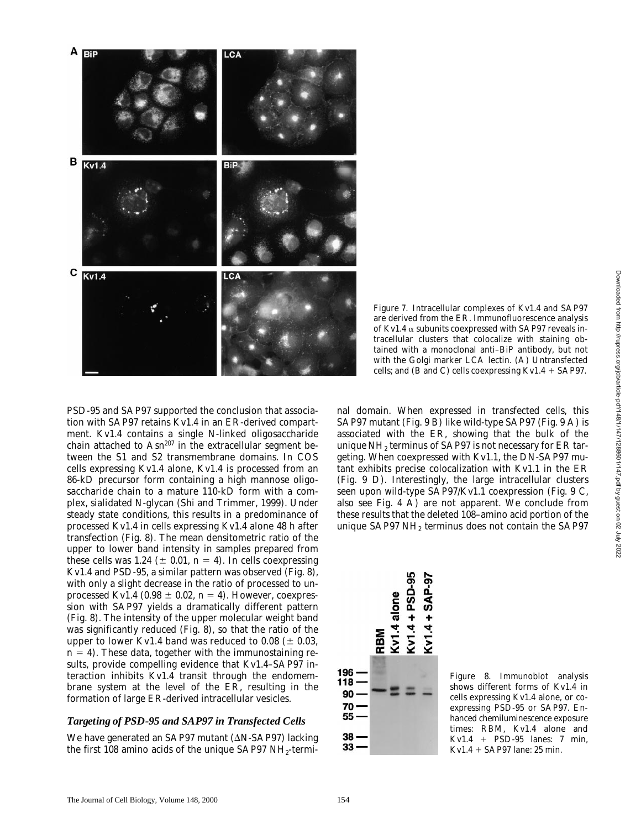

PSD-95 and SAP97 supported the conclusion that association with SAP97 retains Kv1.4 in an ER-derived compartment. Kv1.4 contains a single N-linked oligosaccharide chain attached to Asn<sup>207</sup> in the extracellular segment between the S1 and S2 transmembrane domains. In COS cells expressing Kv1.4 alone, Kv1.4 is processed from an 86-kD precursor form containing a high mannose oligosaccharide chain to a mature 110-kD form with a complex, sialidated N-glycan (Shi and Trimmer, 1999). Under steady state conditions, this results in a predominance of processed Kv1.4 in cells expressing Kv1.4 alone 48 h after transfection (Fig. 8). The mean densitometric ratio of the upper to lower band intensity in samples prepared from these cells was 1.24 ( $\pm$  0.01, *n* = 4). In cells coexpressing Kv1.4 and PSD-95, a similar pattern was observed (Fig. 8), with only a slight decrease in the ratio of processed to unprocessed Kv1.4 ( $0.98 \pm 0.02$ ,  $n = 4$ ). However, coexpression with SAP97 yields a dramatically different pattern (Fig. 8). The intensity of the upper molecular weight band was significantly reduced (Fig. 8), so that the ratio of the upper to lower Kv1.4 band was reduced to 0.08 ( $\pm$  0.03,  $n = 4$ ). These data, together with the immunostaining results, provide compelling evidence that Kv1.4–SAP97 interaction inhibits Kv1.4 transit through the endomembrane system at the level of the ER, resulting in the formation of large ER-derived intracellular vesicles.

# *Targeting of PSD-95 and SAP97 in Transfected Cells*

We have generated an SAP97 mutant  $(\Delta N-SAP97)$  lacking the first 108 amino acids of the unique SAP97  $NH_2$ -termi-

*Figure 7.* Intracellular complexes of Kv1.4 and SAP97 are derived from the ER. Immunofluorescence analysis of Kv1.4  $\alpha$  subunits coexpressed with SAP97 reveals intracellular clusters that colocalize with staining obtained with a monoclonal anti–BiP antibody, but not with the Golgi marker LCA lectin. (A) Untransfected cells; and (B and C) cells coexpressing  $Kv1.4 + SAP97$ .

nal domain. When expressed in transfected cells, this SAP97 mutant (Fig. 9 B) like wild-type SAP97 (Fig. 9 A) is associated with the ER, showing that the bulk of the unique  $NH<sub>2</sub>$  terminus of SAP97 is not necessary for ER targeting. When coexpressed with Kv1.1, the DN-SAP97 mutant exhibits precise colocalization with Kv1.1 in the ER (Fig. 9 D). Interestingly, the large intracellular clusters seen upon wild-type SAP97/Kv1.1 coexpression (Fig. 9 C, also see Fig. 4 A) are not apparent. We conclude from these results that the deleted 108–amino acid portion of the unique SAP97 NH<sub>2</sub> terminus does not contain the SAP97



*Figure 8.* Immunoblot analysis shows different forms of Kv1.4 in cells expressing Kv1.4 alone, or coexpressing PSD-95 or SAP97. Enhanced chemiluminescence exposure times: RBM, Kv1.4 alone and  $Kv1.4$  + PSD-95 lanes: 7 min,  $Kv1.4 + SAP97$  lane: 25 min.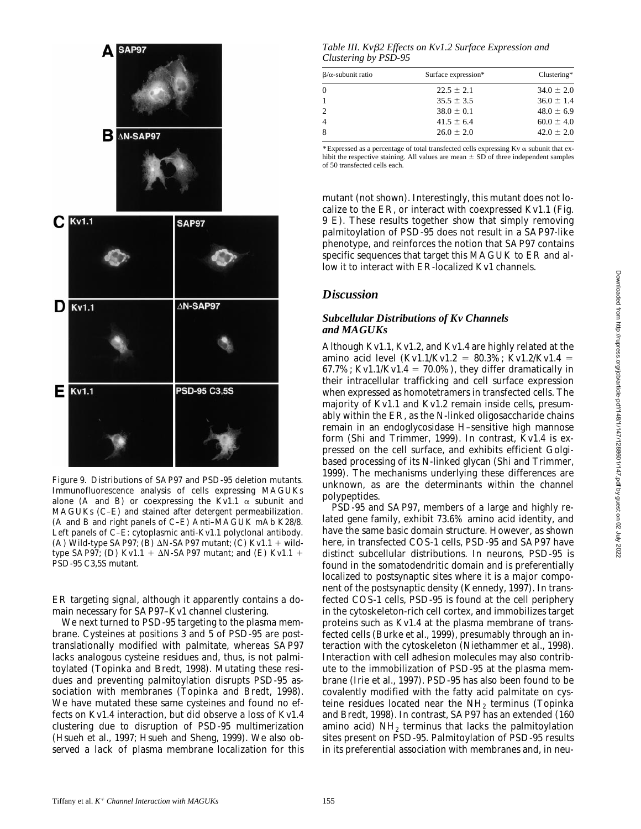

*Figure 9.* Distributions of SAP97 and PSD-95 deletion mutants. Immunofluorescence analysis of cells expressing MAGUKs alone (A and B) or coexpressing the Kv1.1  $\alpha$  subunit and MAGUKs (C–E) and stained after detergent permeabilization. (A and B and right panels of C–E) Anti–MAGUK mAb K28/8. Left panels of C–E: cytoplasmic anti-Kv1.1 polyclonal antibody. (A) Wild-type SAP97; (B)  $\Delta N$ -SAP97 mutant; (C) Kv1.1 + wildtype SAP97; (D) Kv1.1 +  $\Delta N$ -SAP97 mutant; and (E) Kv1.1 + PSD-95 C3,5S mutant.

ER targeting signal, although it apparently contains a domain necessary for SAP97–Kv1 channel clustering.

We next turned to PSD-95 targeting to the plasma membrane. Cysteines at positions 3 and 5 of PSD-95 are posttranslationally modified with palmitate, whereas SAP97 lacks analogous cysteine residues and, thus, is not palmitoylated (Topinka and Bredt, 1998). Mutating these residues and preventing palmitoylation disrupts PSD-95 association with membranes (Topinka and Bredt, 1998). We have mutated these same cysteines and found no effects on Kv1.4 interaction, but did observe a loss of Kv1.4 clustering due to disruption of PSD-95 multimerization (Hsueh et al., 1997; Hsueh and Sheng, 1999). We also observed a lack of plasma membrane localization for this

*Table III. Kv*b*2 Effects on Kv1.2 Surface Expression and Clustering by PSD-95*

| $\beta/\alpha$ -subunit ratio | Surface expression* | $Clustering*$  |
|-------------------------------|---------------------|----------------|
| $\overline{0}$                | $22.5 \pm 2.1$      | $34.0 \pm 2.0$ |
|                               | $35.5 \pm 3.5$      | $36.0 \pm 1.4$ |
| $\overline{2}$                | $38.0 \pm 0.1$      | $48.0 \pm 6.9$ |
| $\overline{4}$                | $41.5 \pm 6.4$      | $60.0 \pm 4.0$ |
| 8                             | $26.0 \pm 2.0$      | $42.0 \pm 2.0$ |

\*Expressed as a percentage of total transfected cells expressing  $Kv \alpha$  subunit that exhibit the respective staining. All values are mean  $\pm$  SD of three independent samples of 50 transfected cells each.

mutant (not shown). Interestingly, this mutant does not localize to the ER, or interact with coexpressed Kv1.1 (Fig. 9 E). These results together show that simply removing palmitoylation of PSD-95 does not result in a SAP97-like phenotype, and reinforces the notion that SAP97 contains specific sequences that target this MAGUK to ER and allow it to interact with ER-localized Kv1 channels.

#### *Discussion*

### *Subcellular Distributions of Kv Channels and MAGUKs*

Although Kv1.1, Kv1.2, and Kv1.4 are highly related at the amino acid level (Kv1.1/Kv1.2 = 80.3%; Kv1.2/Kv1.4 = 67.7%; Kv1.1/Kv1.4 = 70.0%), they differ dramatically in their intracellular trafficking and cell surface expression when expressed as homotetramers in transfected cells. The majority of Kv1.1 and Kv1.2 remain inside cells, presumably within the ER, as the N-linked oligosaccharide chains remain in an endoglycosidase H–sensitive high mannose form (Shi and Trimmer, 1999). In contrast, Kv1.4 is expressed on the cell surface, and exhibits efficient Golgibased processing of its N-linked glycan (Shi and Trimmer, 1999). The mechanisms underlying these differences are unknown, as are the determinants within the channel polypeptides.

PSD-95 and SAP97, members of a large and highly related gene family, exhibit 73.6% amino acid identity, and have the same basic domain structure. However, as shown here, in transfected COS-1 cells, PSD-95 and SAP97 have distinct subcellular distributions. In neurons, PSD-95 is found in the somatodendritic domain and is preferentially localized to postsynaptic sites where it is a major component of the postsynaptic density (Kennedy, 1997). In transfected COS-1 cells, PSD-95 is found at the cell periphery in the cytoskeleton-rich cell cortex, and immobilizes target proteins such as Kv1.4 at the plasma membrane of transfected cells (Burke et al., 1999), presumably through an interaction with the cytoskeleton (Niethammer et al., 1998). Interaction with cell adhesion molecules may also contribute to the immobilization of PSD-95 at the plasma membrane (Irie et al., 1997). PSD-95 has also been found to be covalently modified with the fatty acid palmitate on cysteine residues located near the  $NH<sub>2</sub>$  terminus (Topinka and Bredt, 1998). In contrast, SAP97 has an extended (160 amino acid) NH<sub>2</sub> terminus that lacks the palmitoylation sites present on PSD-95. Palmitoylation of PSD-95 results in its preferential association with membranes and, in neu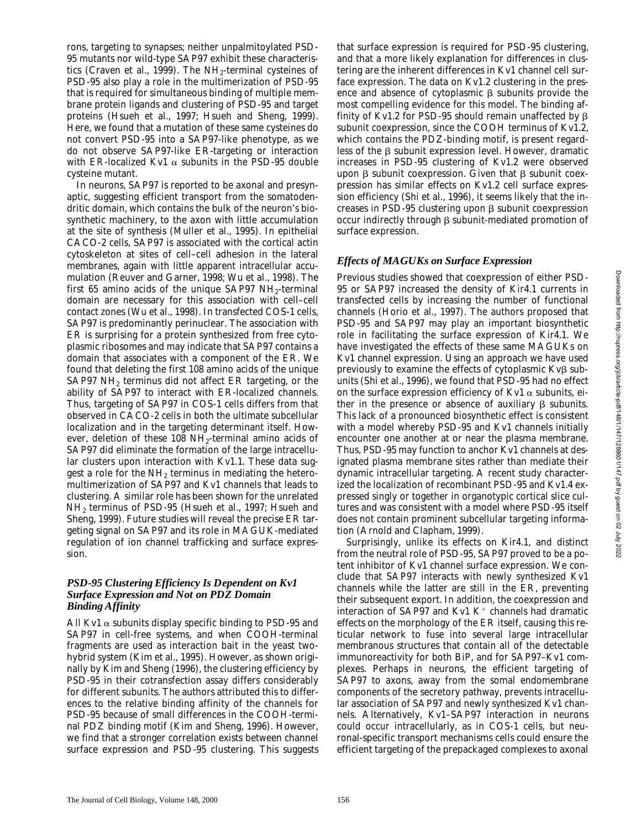rons, targeting to synapses; neither unpalmitoylated PSD-95 mutants nor wild-type SAP97 exhibit these characteristics (Craven et al., 1999). The NH<sub>2</sub>-terminal cysteines of PSD-95 also play a role in the multimerization of PSD-95 that is required for simultaneous binding of multiple membrane protein ligands and clustering of PSD-95 and target proteins (Hsueh et al., 1997; Hsueh and Sheng, 1999). Here, we found that a mutation of these same cysteines do not convert PSD-95 into a SAP97-like phenotype, as we do not observe SAP97-like ER-targeting or interaction with ER-localized Kv1  $\alpha$  subunits in the PSD-95 double cysteine mutant.

In neurons, SAP97 is reported to be axonal and presynaptic, suggesting efficient transport from the somatodendritic domain, which contains the bulk of the neuron's biosynthetic machinery, to the axon with little accumulation at the site of synthesis (Muller et al., 1995). In epithelial CACO-2 cells, SAP97 is associated with the cortical actin cytoskeleton at sites of cell–cell adhesion in the lateral membranes, again with little apparent intracellular accumulation (Reuver and Garner, 1998; Wu et al., 1998). The first 65 amino acids of the unique SAP97  $NH_2$ -terminal domain are necessary for this association with cell–cell contact zones (Wu et al., 1998). In transfected COS-1 cells, SAP97 is predominantly perinuclear. The association with ER is surprising for a protein synthesized from free cytoplasmic ribosomes and may indicate that SAP97 contains a domain that associates with a component of the ER. We found that deleting the first 108 amino acids of the unique SAP97 NH<sub>2</sub> terminus did not affect ER targeting, or the ability of SAP97 to interact with ER-localized channels. Thus, targeting of SAP97 in COS-1 cells differs from that observed in CACO-2 cells in both the ultimate subcellular localization and in the targeting determinant itself. However, deletion of these 108 NH<sub>2</sub>-terminal amino acids of SAP97 did eliminate the formation of the large intracellular clusters upon interaction with Kv1.1. These data suggest a role for the  $NH<sub>2</sub>$  terminus in mediating the heteromultimerization of SAP97 and Kv1 channels that leads to clustering. A similar role has been shown for the unrelated NH2 terminus of PSD-95 (Hsueh et al., 1997; Hsueh and Sheng, 1999). Future studies will reveal the precise ER targeting signal on SAP97 and its role in MAGUK-mediated regulation of ion channel trafficking and surface expression.

#### *PSD-95 Clustering Efficiency Is Dependent on Kv1 Surface Expression and Not on PDZ Domain Binding Affinity*

All Kv1  $\alpha$  subunits display specific binding to PSD-95 and SAP97 in cell-free systems, and when COOH-terminal fragments are used as interaction bait in the yeast twohybrid system (Kim et al., 1995). However, as shown originally by Kim and Sheng (1996), the clustering efficiency by PSD-95 in their cotransfection assay differs considerably for different subunits. The authors attributed this to differences to the relative binding affinity of the channels for PSD-95 because of small differences in the COOH-terminal PDZ binding motif (Kim and Sheng, 1996). However, we find that a stronger correlation exists between channel surface expression and PSD-95 clustering. This suggests

that surface expression is required for PSD-95 clustering, and that a more likely explanation for differences in clustering are the inherent differences in Kv1 channel cell surface expression. The data on Kv1.2 clustering in the presence and absence of cytoplasmic  $\beta$  subunits provide the most compelling evidence for this model. The binding affinity of Kv1.2 for PSD-95 should remain unaffected by  $\beta$ subunit coexpression, since the COOH terminus of Kv1.2, which contains the PDZ-binding motif, is present regardless of the  $\beta$  subunit expression level. However, dramatic increases in PSD-95 clustering of Kv1.2 were observed upon  $\beta$  subunit coexpression. Given that  $\beta$  subunit coexpression has similar effects on Kv1.2 cell surface expression efficiency (Shi et al., 1996), it seems likely that the increases in PSD-95 clustering upon  $\beta$  subunit coexpression occur indirectly through  $\beta$  subunit-mediated promotion of surface expression.

# *Effects of MAGUKs on Surface Expression*

Previous studies showed that coexpression of either PSD-95 or SAP97 increased the density of Kir4.1 currents in transfected cells by increasing the number of functional channels (Horio et al., 1997). The authors proposed that PSD-95 and SAP97 may play an important biosynthetic role in facilitating the surface expression of Kir4.1. We have investigated the effects of these same MAGUKs on Kv1 channel expression. Using an approach we have used previously to examine the effects of cytoplasmic  $Kv\beta$  subunits (Shi et al., 1996), we found that PSD-95 had no effect on the surface expression efficiency of Kv1  $\alpha$  subunits, either in the presence or absence of auxiliary  $\beta$  subunits. This lack of a pronounced biosynthetic effect is consistent with a model whereby PSD-95 and Kv1 channels initially encounter one another at or near the plasma membrane. Thus, PSD-95 may function to anchor Kv1 channels at designated plasma membrane sites rather than mediate their dynamic intracellular targeting. A recent study characterized the localization of recombinant PSD-95 and Kv1.4 expressed singly or together in organotypic cortical slice cultures and was consistent with a model where PSD-95 itself does not contain prominent subcellular targeting information (Arnold and Clapham, 1999).

Surprisingly, unlike its effects on Kir4.1, and distinct from the neutral role of PSD-95, SAP97 proved to be a potent inhibitor of Kv1 channel surface expression. We conclude that SAP97 interacts with newly synthesized Kv1 channels while the latter are still in the ER, preventing their subsequent export. In addition, the coexpression and interaction of SAP97 and Kv1  $K^+$  channels had dramatic effects on the morphology of the ER itself, causing this reticular network to fuse into several large intracellular membranous structures that contain all of the detectable immunoreactivity for both BiP, and for SAP97–Kv1 complexes. Perhaps in neurons, the efficient targeting of SAP97 to axons, away from the somal endomembrane components of the secretory pathway, prevents intracellular association of SAP97 and newly synthesized Kv1 channels. Alternatively, Kv1–SAP97 interaction in neurons could occur intracellularly, as in COS-1 cells, but neuronal-specific transport mechanisms cells could ensure the efficient targeting of the prepackaged complexes to axonal